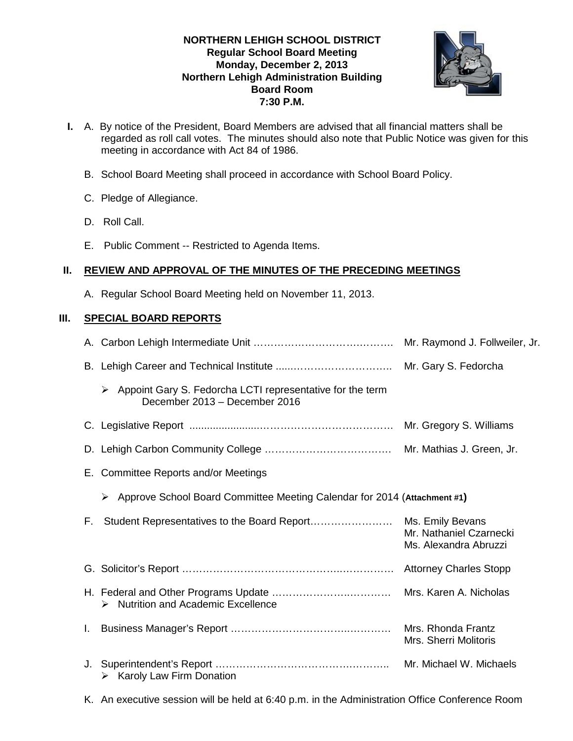### **NORTHERN LEHIGH SCHOOL DISTRICT Regular School Board Meeting Monday, December 2, 2013 Northern Lehigh Administration Building Board Room 7:30 P.M.**



- **I.** A. By notice of the President, Board Members are advised that all financial matters shall be regarded as roll call votes. The minutes should also note that Public Notice was given for this meeting in accordance with Act 84 of 1986.
	- B. School Board Meeting shall proceed in accordance with School Board Policy.
	- C. Pledge of Allegiance.
	- D. Roll Call.
	- E. Public Comment -- Restricted to Agenda Items.

## **II. REVIEW AND APPROVAL OF THE MINUTES OF THE PRECEDING MEETINGS**

A. Regular School Board Meeting held on November 11, 2013.

# **III. SPECIAL BOARD REPORTS**

|    | Appoint Gary S. Fedorcha LCTI representative for the term<br>$\blacktriangleright$<br>December 2013 - December 2016 |                                                  |
|----|---------------------------------------------------------------------------------------------------------------------|--------------------------------------------------|
|    |                                                                                                                     |                                                  |
|    |                                                                                                                     |                                                  |
|    | E. Committee Reports and/or Meetings                                                                                |                                                  |
|    | ≻ Approve School Board Committee Meeting Calendar for 2014 (Attachment #1)                                          |                                                  |
| F. |                                                                                                                     | Mr. Nathaniel Czarnecki<br>Ms. Alexandra Abruzzi |
|    |                                                                                                                     |                                                  |
|    | $\triangleright$ Nutrition and Academic Excellence                                                                  | Mrs. Karen A. Nicholas                           |
| L. |                                                                                                                     | Mrs. Rhonda Frantz<br>Mrs. Sherri Molitoris      |
| J. | $\triangleright$ Karoly Law Firm Donation                                                                           | Mr. Michael W. Michaels                          |

K. An executive session will be held at 6:40 p.m. in the Administration Office Conference Room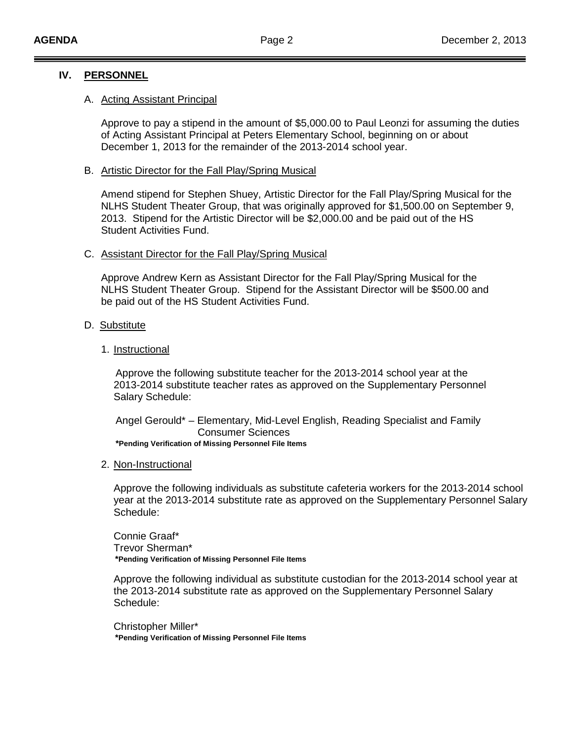### **IV. PERSONNEL**

#### A. Acting Assistant Principal

Approve to pay a stipend in the amount of \$5,000.00 to Paul Leonzi for assuming the duties of Acting Assistant Principal at Peters Elementary School, beginning on or about December 1, 2013 for the remainder of the 2013-2014 school year.

#### B. Artistic Director for the Fall Play/Spring Musical

Amend stipend for Stephen Shuey, Artistic Director for the Fall Play/Spring Musical for the NLHS Student Theater Group, that was originally approved for \$1,500.00 on September 9, 2013. Stipend for the Artistic Director will be \$2,000.00 and be paid out of the HS Student Activities Fund.

### C. Assistant Director for the Fall Play/Spring Musical

Approve Andrew Kern as Assistant Director for the Fall Play/Spring Musical for the NLHS Student Theater Group. Stipend for the Assistant Director will be \$500.00 and be paid out of the HS Student Activities Fund.

### D. Substitute

### 1. Instructional

 Approve the following substitute teacher for the 2013-2014 school year at the 2013-2014 substitute teacher rates as approved on the Supplementary Personnel Salary Schedule:

 Angel Gerould\* – Elementary, Mid-Level English, Reading Specialist and Family Consumer Sciences

**\*Pending Verification of Missing Personnel File Items**

2. Non-Instructional

Approve the following individuals as substitute cafeteria workers for the 2013-2014 school year at the 2013-2014 substitute rate as approved on the Supplementary Personnel Salary Schedule:

Connie Graaf\* Trevor Sherman\*  **\*Pending Verification of Missing Personnel File Items**

Approve the following individual as substitute custodian for the 2013-2014 school year at the 2013-2014 substitute rate as approved on the Supplementary Personnel Salary Schedule:

Christopher Miller\*  **\*Pending Verification of Missing Personnel File Items**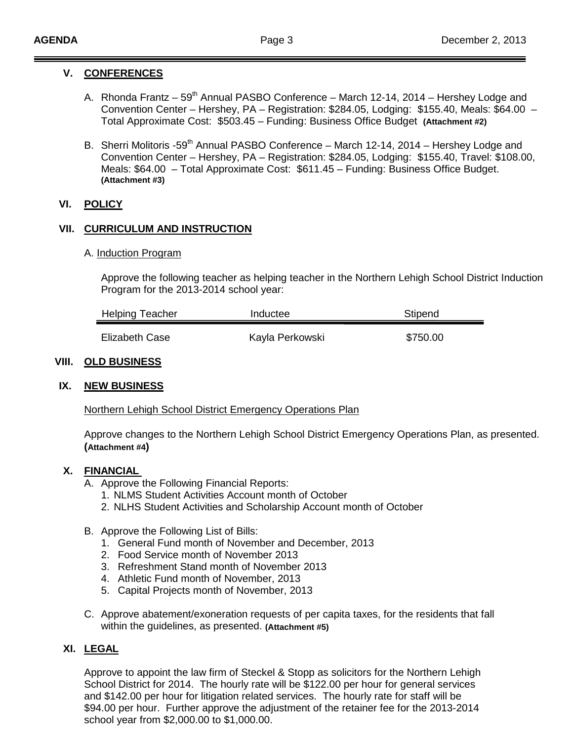# **V. CONFERENCES**

- A. Rhonda Frantz 59<sup>th</sup> Annual PASBO Conference March 12-14, 2014 Hershey Lodge and Convention Center – Hershey, PA – Registration: \$284.05, Lodging: \$155.40, Meals: \$64.00 – Total Approximate Cost: \$503.45 – Funding: Business Office Budget **(Attachment #2)**
- B. Sherri Molitoris -59<sup>th</sup> Annual PASBO Conference March 12-14, 2014 Hershey Lodge and Convention Center – Hershey, PA – Registration: \$284.05, Lodging: \$155.40, Travel: \$108.00, Meals: \$64.00 – Total Approximate Cost: \$611.45 – Funding: Business Office Budget. **(Attachment #3)**

## **VI. POLICY**

## **VII. CURRICULUM AND INSTRUCTION**

### A. Induction Program

Approve the following teacher as helping teacher in the Northern Lehigh School District Induction Program for the 2013-2014 school year:

| <b>Helping Teacher</b> | Inductee        | Stipend  |
|------------------------|-----------------|----------|
| Elizabeth Case         | Kayla Perkowski | \$750.00 |

### **VIII. OLD BUSINESS**

### **IX. NEW BUSINESS**

Northern Lehigh School District Emergency Operations Plan

Approve changes to the Northern Lehigh School District Emergency Operations Plan, as presented. **(Attachment #4)**

### **X. FINANCIAL**

- A. Approve the Following Financial Reports:
	- 1. NLMS Student Activities Account month of October
	- 2. NLHS Student Activities and Scholarship Account month of October
- B. Approve the Following List of Bills:
	- 1. General Fund month of November and December, 2013
	- 2. Food Service month of November 2013
	- 3. Refreshment Stand month of November 2013
	- 4. Athletic Fund month of November, 2013
	- 5. Capital Projects month of November, 2013
- C. Approve abatement/exoneration requests of per capita taxes, for the residents that fall within the guidelines, as presented. **(Attachment #5)**

### **XI. LEGAL**

Approve to appoint the law firm of Steckel & Stopp as solicitors for the Northern Lehigh School District for 2014. The hourly rate will be \$122.00 per hour for general services and \$142.00 per hour for litigation related services. The hourly rate for staff will be \$94.00 per hour. Further approve the adjustment of the retainer fee for the 2013-2014 school year from \$2,000.00 to \$1,000.00.